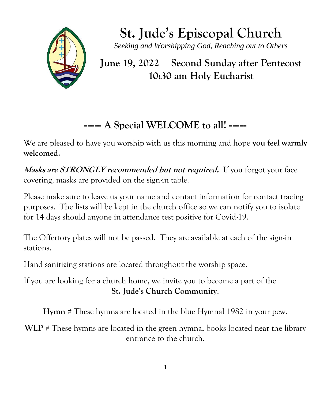

**St. Jude's Episcopal Church** *Seeking and Worshipping God, Reaching out to Others*

**June 19, 2022 Second Sunday after Pentecost 10:30 am Holy Eucharist**

# **----- A Special WELCOME to all! -----**

We are pleased to have you worship with us this morning and hope **you feel warmly welcomed.** 

**Masks are STRONGLY recommended but not required.** If you forgot your face covering, masks are provided on the sign-in table.

Please make sure to leave us your name and contact information for contact tracing purposes. The lists will be kept in the church office so we can notify you to isolate for 14 days should anyone in attendance test positive for Covid-19.

The Offertory plates will not be passed. They are available at each of the sign-in stations.

Hand sanitizing stations are located throughout the worship space.

If you are looking for a church home, we invite you to become a part of the **St. Jude's Church Community.**

**Hymn #** These hymns are located in the blue Hymnal 1982 in your pew.

**WLP #** These hymns are located in the green hymnal books located near the library entrance to the church.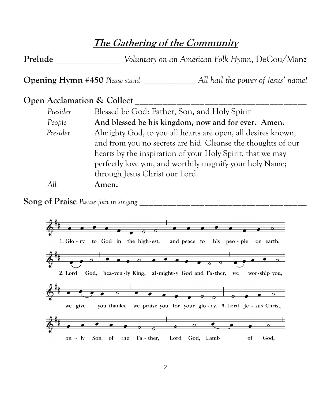## **The Gathering of the Community**

| Prelude                                                                     |          | Voluntary on an American Folk Hymn, DeCou/Manz                                                                                                                                                                                                                                           |  |
|-----------------------------------------------------------------------------|----------|------------------------------------------------------------------------------------------------------------------------------------------------------------------------------------------------------------------------------------------------------------------------------------------|--|
| All hail the power of Jesus' name!<br><b>Opening Hymn #450 Please stand</b> |          |                                                                                                                                                                                                                                                                                          |  |
|                                                                             |          | <b>Open Acclamation &amp; Collect</b>                                                                                                                                                                                                                                                    |  |
|                                                                             | Presider | Blessed be God: Father, Son, and Holy Spirit                                                                                                                                                                                                                                             |  |
|                                                                             | People   | And blessed be his kingdom, now and for ever. Amen.                                                                                                                                                                                                                                      |  |
|                                                                             | Presider | Almighty God, to you all hearts are open, all desires known,<br>and from you no secrets are hid: Cleanse the thoughts of our<br>hearts by the inspiration of your Holy Spirit, that we may<br>perfectly love you, and worthily magnify your holy Name;<br>through Jesus Christ our Lord. |  |
|                                                                             | All      | Amen.                                                                                                                                                                                                                                                                                    |  |

**Song of Praise** *Please join in singing* **\_\_\_\_\_\_\_\_\_\_\_\_\_\_\_\_\_\_\_\_\_\_\_\_\_\_\_\_\_\_\_\_\_\_\_\_**

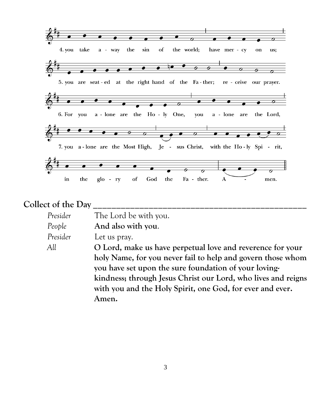

### **Collect of the Day \_\_\_\_\_\_\_\_\_\_\_\_\_\_\_\_\_\_\_\_\_\_\_\_\_\_\_\_\_\_\_\_\_\_\_\_\_\_\_\_\_\_\_\_\_\_**

| Presider | The Lord be with you.                                         |
|----------|---------------------------------------------------------------|
| People   | And also with you.                                            |
| Presider | Let us pray.                                                  |
| All      | O Lord, make us have perpetual love and reverence for your    |
|          | holy Name, for you never fail to help and govern those whom   |
|          | you have set upon the sure foundation of your loving-         |
|          | kindness; through Jesus Christ our Lord, who lives and reigns |
|          | with you and the Holy Spirit, one God, for ever and ever.     |
|          | Amen.                                                         |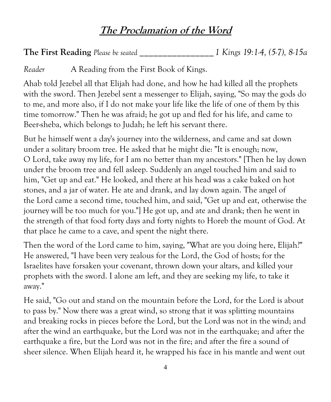## **The Proclamation of the Word**

**The First Reading** *Please be seated* **\_\_\_\_\_\_\_\_\_\_\_\_\_\_\_\_** *1 Kings 19:1-4, (5-7), 8-15a*

*Reader* A Reading from the First Book of Kings.

Ahab told Jezebel all that Elijah had done, and how he had killed all the prophets with the sword. Then Jezebel sent a messenger to Elijah, saying, "So may the gods do to me, and more also, if I do not make your life like the life of one of them by this time tomorrow." Then he was afraid; he got up and fled for his life, and came to Beer-sheba, which belongs to Judah; he left his servant there.

But he himself went a day's journey into the wilderness, and came and sat down under a solitary broom tree. He asked that he might die: "It is enough; now, O Lord, take away my life, for I am no better than my ancestors." [Then he lay down under the broom tree and fell asleep. Suddenly an angel touched him and said to him, "Get up and eat." He looked, and there at his head was a cake baked on hot stones, and a jar of water. He ate and drank, and lay down again. The angel of the Lord came a second time, touched him, and said, "Get up and eat, otherwise the journey will be too much for you."] He got up, and ate and drank; then he went in the strength of that food forty days and forty nights to Horeb the mount of God. At that place he came to a cave, and spent the night there.

Then the word of the Lord came to him, saying, "What are you doing here, Elijah?" He answered, "I have been very zealous for the Lord, the God of hosts; for the Israelites have forsaken your covenant, thrown down your altars, and killed your prophets with the sword. I alone am left, and they are seeking my life, to take it away."

He said, "Go out and stand on the mountain before the Lord, for the Lord is about to pass by." Now there was a great wind, so strong that it was splitting mountains and breaking rocks in pieces before the Lord, but the Lord was not in the wind; and after the wind an earthquake, but the Lord was not in the earthquake; and after the earthquake a fire, but the Lord was not in the fire; and after the fire a sound of sheer silence. When Elijah heard it, he wrapped his face in his mantle and went out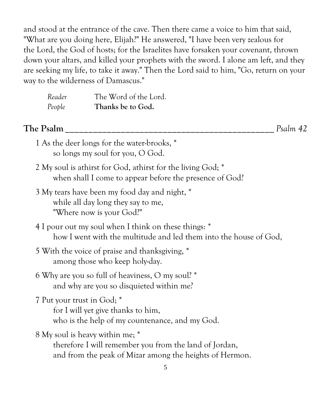and stood at the entrance of the cave. Then there came a voice to him that said, "What are you doing here, Elijah?" He answered, "I have been very zealous for the Lord, the God of hosts; for the Israelites have forsaken your covenant, thrown down your altars, and killed your prophets with the sword. I alone am left, and they are seeking my life, to take it away." Then the Lord said to him, "Go, return on your way to the wilderness of Damascus."

| Reader | The Word of the Lord. |
|--------|-----------------------|
| People | Thanks be to God.     |

| The Psalm                                                                                                                                            | Psalm 42 |
|------------------------------------------------------------------------------------------------------------------------------------------------------|----------|
| 1 As the deer longs for the water-brooks, *<br>so longs my soul for you, O God.                                                                      |          |
| 2 My soul is athirst for God, athirst for the living God; *<br>when shall I come to appear before the presence of God?                               |          |
| 3 My tears have been my food day and night, *<br>while all day long they say to me,<br>"Where now is your God?"                                      |          |
| 4 I pour out my soul when I think on these things: *<br>how I went with the multitude and led them into the house of God,                            |          |
| 5 With the voice of praise and thanksgiving, *<br>among those who keep holy-day.                                                                     |          |
| 6 Why are you so full of heaviness, O my soul? *<br>and why are you so disquieted within me?                                                         |          |
| 7 Put your trust in God; *<br>for I will yet give thanks to him,<br>who is the help of my countenance, and my God.                                   |          |
| 8 My soul is heavy within me; *<br>therefore I will remember you from the land of Jordan,<br>and from the peak of Mizar among the heights of Hermon. |          |
| 5                                                                                                                                                    |          |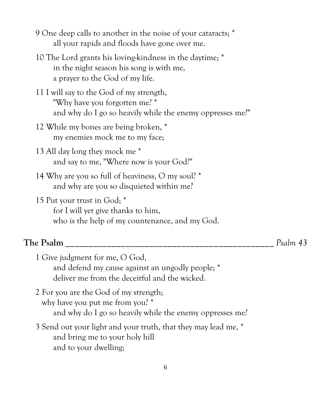9 One deep calls to another in the noise of your cataracts; \* all your rapids and floods have gone over me.

- 10 The Lord grants his loving-kindness in the daytime; \* in the night season his song is with me, a prayer to the God of my life.
- 11 I will say to the God of my strength, "Why have you forgotten me? \* and why do I go so heavily while the enemy oppresses me?"
- 12 While my bones are being broken, \* my enemies mock me to my face;
- 13 All day long they mock me \* and say to me, "Where now is your God?"
- 14 Why are you so full of heaviness, O my soul? \* and why are you so disquieted within me?
- 15 Put your trust in God; \* for I will yet give thanks to him, who is the help of my countenance, and my God.

### **The Psalm**  $P_{\text{5}}$

1 Give judgment for me, O God, and defend my cause against an ungodly people; \* deliver me from the deceitful and the wicked. 2 For you are the God of my strength; why have you put me from you? \* and why do I go so heavily while the enemy oppresses me? 3 Send out your light and your truth, that they may lead me, \* and bring me to your holy hill and to your dwelling;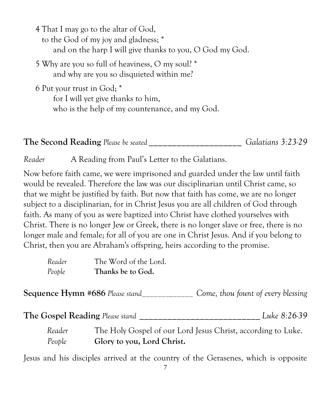4 That I may go to the altar of God, to the God of my joy and gladness; \* and on the harp I will give thanks to you, O God my God.

5 Why are you so full of heaviness, O my soul? \* and why are you so disquieted within me?

6 Put your trust in God; \* for I will yet give thanks to him, who is the help of my countenance, and my God.

**The Second Reading** *Please be seated* **\_\_\_\_\_\_\_\_\_\_\_\_\_\_\_\_\_\_\_\_** *Galatians 3:23-29*

*Reader* A Reading from Paul's Letter to the Galatians.

Now before faith came, we were imprisoned and guarded under the law until faith would be revealed. Therefore the law was our disciplinarian until Christ came, so that we might be justified by faith. But now that faith has come, we are no longer subject to a disciplinarian, for in Christ Jesus you are all children of God through faith. As many of you as were baptized into Christ have clothed yourselves with Christ. There is no longer Jew or Greek, there is no longer slave or free, there is no longer male and female; for all of you are one in Christ Jesus. And if you belong to Christ, then you are Abraham's offspring, heirs according to the promise.

| Reader | The Word of the Lord. |
|--------|-----------------------|
| People | Thanks be to God.     |

**Sequence Hymn #686** *Please stand\_\_\_\_\_\_\_\_\_\_\_\_\_ Come, thou fount of every blessing*

**The Gospel Reading** *Please stand* **\_\_\_\_\_\_\_\_\_\_\_\_\_\_\_\_\_\_\_\_\_\_\_\_\_\_** *Luke 8:26-39*

*Reader* The Holy Gospel of our Lord Jesus Christ, according to Luke. *People* **Glory to you, Lord Christ.**

Jesus and his disciples arrived at the country of the Gerasenes, which is opposite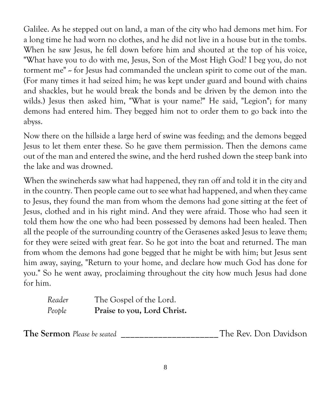Galilee. As he stepped out on land, a man of the city who had demons met him. For a long time he had worn no clothes, and he did not live in a house but in the tombs. When he saw Jesus, he fell down before him and shouted at the top of his voice, "What have you to do with me, Jesus, Son of the Most High God? I beg you, do not torment me" -- for Jesus had commanded the unclean spirit to come out of the man. (For many times it had seized him; he was kept under guard and bound with chains and shackles, but he would break the bonds and be driven by the demon into the wilds.) Jesus then asked him, "What is your name?" He said, "Legion"; for many demons had entered him. They begged him not to order them to go back into the abyss.

Now there on the hillside a large herd of swine was feeding; and the demons begged Jesus to let them enter these. So he gave them permission. Then the demons came out of the man and entered the swine, and the herd rushed down the steep bank into the lake and was drowned.

When the swineherds saw what had happened, they ran off and told it in the city and in the country. Then people came out to see what had happened, and when they came to Jesus, they found the man from whom the demons had gone sitting at the feet of Jesus, clothed and in his right mind. And they were afraid. Those who had seen it told them how the one who had been possessed by demons had been healed. Then all the people of the surrounding country of the Gerasenes asked Jesus to leave them; for they were seized with great fear. So he got into the boat and returned. The man from whom the demons had gone begged that he might be with him; but Jesus sent him away, saying, "Return to your home, and declare how much God has done for you." So he went away, proclaiming throughout the city how much Jesus had done for him.

| Reader | The Gospel of the Lord.     |
|--------|-----------------------------|
| People | Praise to you, Lord Christ. |

**The Sermon** Please be seated **and The Rev. Don Davidson**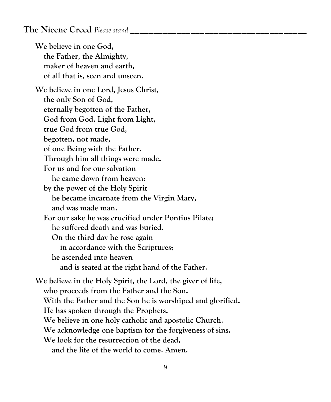**The Nicene Creed** *Please stand* **\_\_\_\_\_\_\_\_\_\_\_\_\_\_\_\_\_\_\_\_\_\_\_\_\_\_\_\_\_\_\_\_\_\_\_\_\_\_**

**We believe in one God, the Father, the Almighty, maker of heaven and earth, of all that is, seen and unseen. We believe in one Lord, Jesus Christ, the only Son of God, eternally begotten of the Father, God from God, Light from Light, true God from true God, begotten, not made, of one Being with the Father. Through him all things were made. For us and for our salvation he came down from heaven: by the power of the Holy Spirit he became incarnate from the Virgin Mary, and was made man. For our sake he was crucified under Pontius Pilate; he suffered death and was buried. On the third day he rose again in accordance with the Scriptures;**

 **he ascended into heaven**

 **and is seated at the right hand of the Father.**

**We believe in the Holy Spirit, the Lord, the giver of life, who proceeds from the Father and the Son. With the Father and the Son he is worshiped and glorified. He has spoken through the Prophets. We believe in one holy catholic and apostolic Church. We acknowledge one baptism for the forgiveness of sins. We look for the resurrection of the dead, and the life of the world to come. Amen.**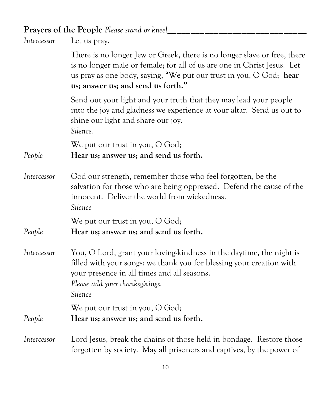#### **Prayers of the People** *Please stand or kneel***\_\_\_\_\_\_\_\_\_\_\_\_\_\_\_\_\_\_\_\_\_\_\_\_\_\_\_\_\_\_**

| Intercessor | Let us pray.                                                                                                                                                                                                                                                    |
|-------------|-----------------------------------------------------------------------------------------------------------------------------------------------------------------------------------------------------------------------------------------------------------------|
|             | There is no longer Jew or Greek, there is no longer slave or free, there<br>is no longer male or female; for all of us are one in Christ Jesus. Let<br>us pray as one body, saying, "We put our trust in you, O God; hear<br>us; answer us; and send us forth." |
|             | Send out your light and your truth that they may lead your people<br>into the joy and gladness we experience at your altar. Send us out to<br>shine our light and share our joy.<br>Silence.                                                                    |
|             | We put our trust in you, $O$ God;                                                                                                                                                                                                                               |
| People      | Hear us; answer us; and send us forth.                                                                                                                                                                                                                          |
| Intercessor | God our strength, remember those who feel forgotten, be the<br>salvation for those who are being oppressed. Defend the cause of the<br>innocent. Deliver the world from wickedness.<br>Silence                                                                  |
|             | We put our trust in you, O God;                                                                                                                                                                                                                                 |
| People      | Hear us; answer us; and send us forth.                                                                                                                                                                                                                          |
| Intercessor | You, O Lord, grant your loving-kindness in the daytime, the night is<br>filled with your songs: we thank you for blessing your creation with<br>your presence in all times and all seasons.<br>Please add your thanksgivings.<br>Silence                        |
|             | We put our trust in you, $O$ God;                                                                                                                                                                                                                               |
| People      | Hear us; answer us; and send us forth.                                                                                                                                                                                                                          |
| Intercessor | Lord Jesus, break the chains of those held in bondage. Restore those<br>forgotten by society. May all prisoners and captives, by the power of                                                                                                                   |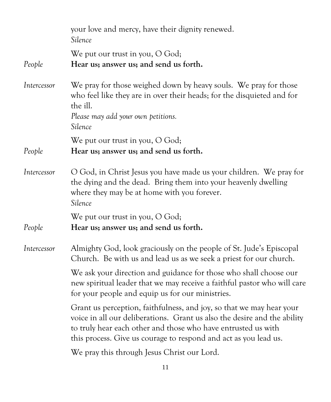|             | your love and mercy, have their dignity renewed.<br>Silence                                                                                                                                                                                                                           |
|-------------|---------------------------------------------------------------------------------------------------------------------------------------------------------------------------------------------------------------------------------------------------------------------------------------|
| People      | We put our trust in you, $O$ God;<br>Hear us; answer us; and send us forth.                                                                                                                                                                                                           |
| Intercessor | We pray for those weighed down by heavy souls. We pray for those<br>who feel like they are in over their heads; for the disquieted and for<br>the ill.<br>Please may add your own petitions.<br>Silence                                                                               |
| People      | We put our trust in you, $O$ God;<br>Hear us; answer us; and send us forth.                                                                                                                                                                                                           |
| Intercessor | O God, in Christ Jesus you have made us your children. We pray for<br>the dying and the dead. Bring them into your heavenly dwelling<br>where they may be at home with you forever.<br>Silence                                                                                        |
| People      | We put our trust in you, $O$ God;<br>Hear us; answer us; and send us forth.                                                                                                                                                                                                           |
| Intercessor | Almighty God, look graciously on the people of St. Jude's Episcopal<br>Church. Be with us and lead us as we seek a priest for our church.                                                                                                                                             |
|             | We ask your direction and guidance for those who shall choose our<br>new spiritual leader that we may receive a faithful pastor who will care<br>for your people and equip us for our ministries.                                                                                     |
|             | Grant us perception, faithfulness, and joy, so that we may hear your<br>voice in all our deliberations. Grant us also the desire and the ability<br>to truly hear each other and those who have entrusted us with<br>this process. Give us courage to respond and act as you lead us. |
|             | We pray this through Jesus Christ our Lord.                                                                                                                                                                                                                                           |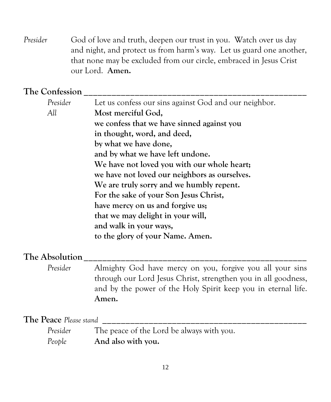| Presider | God of love and truth, deepen our trust in you. Watch over us day    |
|----------|----------------------------------------------------------------------|
|          | and night, and protect us from harm's way. Let us guard one another, |
|          | that none may be excluded from our circle, embraced in Jesus Crist   |
|          | our Lord. Amen.                                                      |

## **The Confession \_\_\_\_\_\_\_\_\_\_\_\_\_\_\_\_\_\_\_\_\_\_\_\_\_\_\_\_\_\_\_\_\_\_\_\_\_\_\_\_\_\_\_\_\_\_\_\_**

| Presider<br>All | Let us confess our sins against God and our neighbor.<br>Most merciful God,<br>we confess that we have sinned against you<br>in thought, word, and deed,<br>by what we have done,<br>and by what we have left undone.<br>We have not loved you with our whole heart;<br>we have not loved our neighbors as ourselves.<br>We are truly sorry and we humbly repent.<br>For the sake of your Son Jesus Christ,<br>have mercy on us and forgive us;<br>that we may delight in your will, |
|-----------------|--------------------------------------------------------------------------------------------------------------------------------------------------------------------------------------------------------------------------------------------------------------------------------------------------------------------------------------------------------------------------------------------------------------------------------------------------------------------------------------|
|                 | and walk in your ways,<br>to the glory of your Name. Amen.                                                                                                                                                                                                                                                                                                                                                                                                                           |
| The Absolution  |                                                                                                                                                                                                                                                                                                                                                                                                                                                                                      |
| Presider        | Almighty God have mercy on you, forgive you all your sins<br>through our Lord Jesus Christ, strengthen you in all goodness,<br>and by the power of the Holy Spirit keep you in eternal life.<br>Amen.                                                                                                                                                                                                                                                                                |

# **The Peace** *Please stand* **\_\_\_\_\_\_\_\_\_\_\_\_\_\_\_\_\_\_\_\_\_\_\_\_\_\_\_\_\_\_\_\_\_\_\_\_\_\_\_\_\_\_\_\_**

| Presider | The peace of the Lord be always with you. |
|----------|-------------------------------------------|
| People   | And also with you.                        |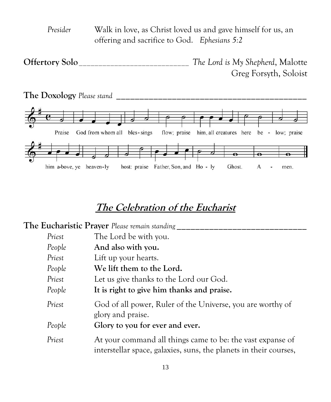*Presider* Walk in love, as Christ loved us and gave himself for us, an offering and sacrifice to God. *Ephesians 5:2*

**Offertory Solo***\_\_\_\_\_\_\_\_\_\_\_\_\_\_\_\_\_\_\_\_\_\_\_\_\_\_\_\_ The Lord is My Shepherd*, Malotte Greg Forsyth, Soloist



## **The Celebration of the Eucharist**

| The Eucharistic Prayer Please remain standing |                                                                                                                                 |  |
|-----------------------------------------------|---------------------------------------------------------------------------------------------------------------------------------|--|
| Priest                                        | The Lord be with you.                                                                                                           |  |
| People                                        | And also with you.                                                                                                              |  |
| Priest                                        | Lift up your hearts.                                                                                                            |  |
| People                                        | We lift them to the Lord.                                                                                                       |  |
| Priest                                        | Let us give thanks to the Lord our God.                                                                                         |  |
| People                                        | It is right to give him thanks and praise.                                                                                      |  |
| Priest                                        | God of all power, Ruler of the Universe, you are worthy of<br>glory and praise.                                                 |  |
| People                                        | Glory to you for ever and ever.                                                                                                 |  |
| Priest                                        | At your command all things came to be: the vast expanse of<br>interstellar space, galaxies, suns, the planets in their courses, |  |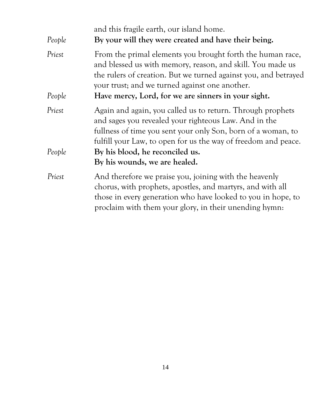| People | and this fragile earth, our island home.<br>By your will they were created and have their being.                                                                                                                                                      |
|--------|-------------------------------------------------------------------------------------------------------------------------------------------------------------------------------------------------------------------------------------------------------|
| Priest | From the primal elements you brought forth the human race,<br>and blessed us with memory, reason, and skill. You made us<br>the rulers of creation. But we turned against you, and betrayed<br>your trust; and we turned against one another.         |
| People | Have mercy, Lord, for we are sinners in your sight.                                                                                                                                                                                                   |
| Priest | Again and again, you called us to return. Through prophets<br>and sages you revealed your righteous Law. And in the<br>fullness of time you sent your only Son, born of a woman, to<br>fulfill your Law, to open for us the way of freedom and peace. |
| People | By his blood, he reconciled us.<br>By his wounds, we are healed.                                                                                                                                                                                      |
| Priest | And therefore we praise you, joining with the heavenly<br>chorus, with prophets, apostles, and martyrs, and with all<br>those in every generation who have looked to you in hope, to<br>proclaim with them your glory, in their unending hymn:        |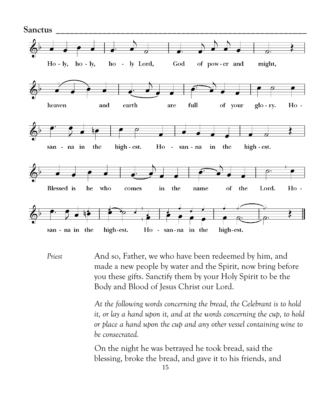

*Priest* And so, Father, we who have been redeemed by him, and made a new people by water and the Spirit, now bring before you these gifts. Sanctify them by your Holy Spirit to be the Body and Blood of Jesus Christ our Lord.

> *At the following words concerning the bread, the Celebrant is to hold it, or lay a hand upon it, and at the words concerning the cup, to hold or place a hand upon the cup and any other vessel containing wine to be consecrated.*

On the night he was betrayed he took bread, said the blessing, broke the bread, and gave it to his friends, and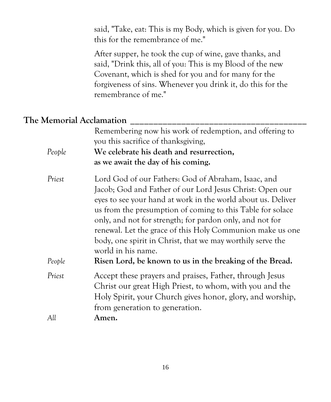said, "Take, eat: This is my Body, which is given for you. Do this for the remembrance of me."

After supper, he took the cup of wine, gave thanks, and said, "Drink this, all of you: This is my Blood of the new Covenant, which is shed for you and for many for the forgiveness of sins. Whenever you drink it, do this for the remembrance of me."

### **The Memorial Acclamation \_\_\_\_\_\_\_\_\_\_\_\_\_\_\_\_\_\_\_\_\_\_\_\_\_\_\_\_\_\_\_\_\_\_\_\_\_\_**

| People | Remembering now his work of redemption, and offering to<br>you this sacrifice of thanksgiving,<br>We celebrate his death and resurrection,<br>as we await the day of his coming.                                                                                                                                                                                                                                                                           |
|--------|------------------------------------------------------------------------------------------------------------------------------------------------------------------------------------------------------------------------------------------------------------------------------------------------------------------------------------------------------------------------------------------------------------------------------------------------------------|
| Priest | Lord God of our Fathers: God of Abraham, Isaac, and<br>Jacob; God and Father of our Lord Jesus Christ: Open our<br>eyes to see your hand at work in the world about us. Deliver<br>us from the presumption of coming to this Table for solace<br>only, and not for strength; for pardon only, and not for<br>renewal. Let the grace of this Holy Communion make us one<br>body, one spirit in Christ, that we may worthily serve the<br>world in his name. |
| People | Risen Lord, be known to us in the breaking of the Bread.                                                                                                                                                                                                                                                                                                                                                                                                   |
| Priest | Accept these prayers and praises, Father, through Jesus<br>Christ our great High Priest, to whom, with you and the<br>Holy Spirit, your Church gives honor, glory, and worship,<br>from generation to generation.                                                                                                                                                                                                                                          |
| All    | Amen.                                                                                                                                                                                                                                                                                                                                                                                                                                                      |
|        |                                                                                                                                                                                                                                                                                                                                                                                                                                                            |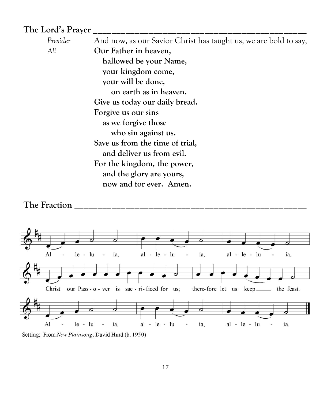### **The Lord's Prayer \_\_\_\_\_\_\_\_\_\_\_\_\_\_\_\_\_\_\_\_\_\_\_\_\_\_\_\_\_\_\_\_\_\_\_\_\_\_\_\_\_\_\_\_\_\_**

*Presider* And now, as our Savior Christ has taught us, we are bold to say, *All* **Our Father in heaven, hallowed be your Name, your kingdom come, your will be done, on earth as in heaven. Give us today our daily bread. Forgive us our sins as we forgive those who sin against us. Save us from the time of trial, and deliver us from evil. For the kingdom, the power, and the glory are yours, now and for ever. Amen.**



Setting; From New Plainsong; David Hurd (b. 1950)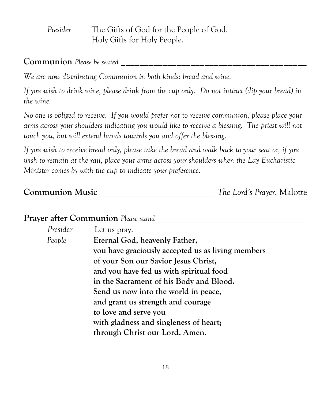*Presider* The Gifts of God for the People of God. Holy Gifts for Holy People.

**Communion** *Please be seated* **\_\_\_\_\_\_\_\_\_\_\_\_\_\_\_\_\_\_\_\_\_\_\_\_\_\_\_\_\_\_\_\_\_\_\_\_\_\_\_\_**

*We are now distributing Communion in both kinds: bread and wine.* 

*If you wish to drink wine, please drink from the cup only. Do not intinct (dip your bread) in the wine.*

*No one is obliged to receive. If you would prefer not to receive communion, please place your arms across your shoulders indicating you would like to receive a blessing. The priest will not touch you, but will extend hands towards you and offer the blessing.*

*If you wish to receive bread only, please take the bread and walk back to your seat or, if you wish to remain at the rail, place your arms across your shoulders when the Lay Eucharistic Minister comes by with the cup to indicate your preference.*

| <b>Communion Music</b> | The Lord's Prayer, Malotte |
|------------------------|----------------------------|
|------------------------|----------------------------|

**Prayer after Communion** Please stand

| Presider | Let us pray.                                      |
|----------|---------------------------------------------------|
| People   | Eternal God, heavenly Father,                     |
|          | you have graciously accepted us as living members |
|          | of your Son our Savior Jesus Christ,              |
|          | and you have fed us with spiritual food           |
|          | in the Sacrament of his Body and Blood.           |
|          | Send us now into the world in peace,              |
|          | and grant us strength and courage                 |
|          | to love and serve you                             |
|          | with gladness and singleness of heart;            |
|          | through Christ our Lord. Amen.                    |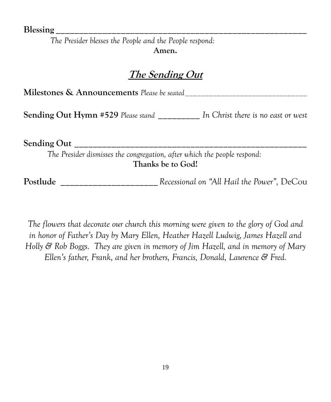#### **Blessing \_\_\_\_\_\_\_\_\_\_\_\_\_\_\_\_\_\_\_\_\_\_\_\_\_\_\_\_\_\_\_\_\_\_\_\_\_\_\_\_\_\_\_\_\_\_\_\_\_\_\_\_\_\_**

*The Presider blesses the People and the People respond:* **Amen.**

## **The Sending Out**

**Milestones & Announcements** *Please be seated\_\_\_\_\_\_\_\_\_\_\_\_\_\_\_\_\_\_\_\_\_\_\_\_\_\_\_\_\_\_\_*

**Sending Out Hymn #529** *Please stand* **\_\_\_\_\_\_\_\_\_** *In Christ there is no east or west*

**Sending Out \_\_\_\_\_\_\_\_\_\_\_\_\_\_\_\_\_\_\_\_\_\_\_\_\_\_\_\_\_\_\_\_\_\_\_\_\_\_\_\_\_\_\_\_\_\_\_\_\_\_**

*The Presider dismisses the congregation, after which the people respond:* **Thanks be to God!**

**Postlude \_\_\_\_\_\_\_\_\_\_\_\_\_\_\_\_\_\_\_\_\_***Recessional on "All Hail the Power",* DeCou

*The flowers that decorate our church this morning were given to the glory of God and in honor of Father's Day by Mary Ellen, Heather Hazell Ludwig, James Hazell and Holly & Rob Boggs. They are given in memory of Jim Hazell, and in memory of Mary Ellen's father, Frank, and her brothers, Francis, Donald, Laurence & Fred.*